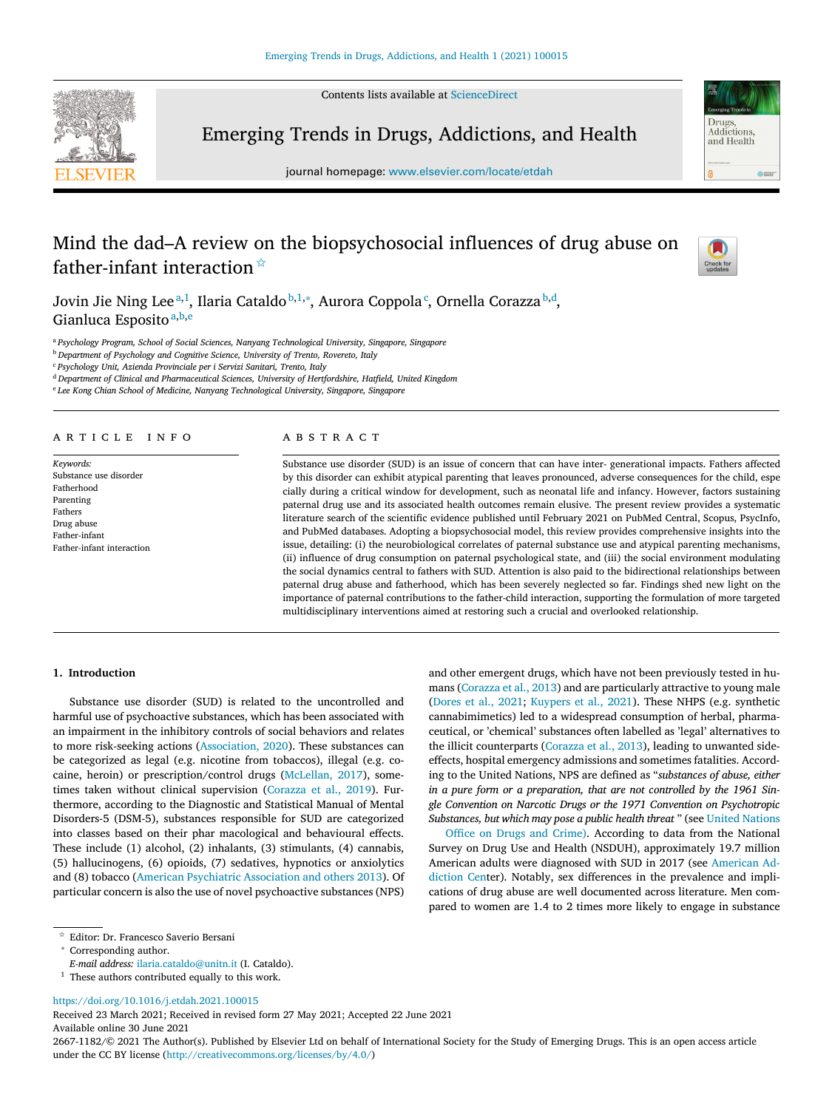Contents lists available at [ScienceDirect](http://www.ScienceDirect.com)



Emerging Trends in Drugs, Addictions, and Health

journal homepage: [www.elsevier.com/locate/etdah](http://www.elsevier.com/locate/etdah)

# Mind the dad–A review on the biopsychosocial influences of drug abuse on father-infant interaction  $\overline{x}$



Drugs Addictions and Health

 $rac{1}{2}$ 

Jovin Jie Ning Lee $^{\mathrm{a},\mathrm{l}}$ , Ilaria Cataldo $^{\mathrm{b},\mathrm{1},*}$ , Aurora Coppola $^{\mathrm{c}}$ , Ornella Corazza $^{\mathrm{b},\mathrm{d}},$ Gianluca Esposito<sup>a,b,e</sup>

<sup>a</sup> *Psychology Program, School of Social Sciences, Nanyang Technological University, Singapore, Singapore*

<sup>b</sup> *Department of Psychology and Cognitive Science, University of Trento, Rovereto, Italy*

<sup>c</sup> *Psychology Unit, Azienda Provinciale per i Servizi Sanitari, Trento, Italy*

<sup>d</sup> *Department of Clinical and Pharmaceutical Sciences, University of Hertfordshire, Hatfield, United Kingdom*

<sup>e</sup> *Lee Kong Chian School of Medicine, Nanyang Technological University, Singapore, Singapore*

# a r t i c l e i n f o

*Keywords:* Substance use disorder Fatherhood Parenting Fathers Drug abuse Father-infant Father-infant interaction

# A B S T R A C T

Substance use disorder (SUD) is an issue of concern that can have inter- generational impacts. Fathers affected by this disorder can exhibit atypical parenting that leaves pronounced, adverse consequences for the child, espe cially during a critical window for development, such as neonatal life and infancy. However, factors sustaining paternal drug use and its associated health outcomes remain elusive. The present review provides a systematic literature search of the scientific evidence published until February 2021 on PubMed Central, Scopus, PsycInfo, and PubMed databases. Adopting a biopsychosocial model, this review provides comprehensive insights into the issue, detailing: (i) the neurobiological correlates of paternal substance use and atypical parenting mechanisms, (ii) influence of drug consumption on paternal psychological state, and (iii) the social environment modulating the social dynamics central to fathers with SUD. Attention is also paid to the bidirectional relationships between paternal drug abuse and fatherhood, which has been severely neglected so far. Findings shed new light on the importance of paternal contributions to the father-child interaction, supporting the formulation of more targeted multidisciplinary interventions aimed at restoring such a crucial and overlooked relationship.

### **1. Introduction**

Substance use disorder (SUD) is related to the uncontrolled and harmful use of psychoactive substances, which has been associated with an impairment in the inhibitory controls of social behaviors and relates to more risk-seeking actions [\(Association,](#page-7-0) 2020). These substances can be categorized as legal (e.g. nicotine from tobaccos), illegal (e.g. cocaine, heroin) or prescription/control drugs [\(McLellan,](#page-8-0) 2017), sometimes taken without clinical supervision [\(Corazza](#page-7-0) et al., 2019). Furthermore, according to the Diagnostic and Statistical Manual of Mental Disorders-5 (DSM-5), substances responsible for SUD are categorized into classes based on their phar macological and behavioural effects. These include (1) alcohol, (2) inhalants, (3) stimulants, (4) cannabis, (5) hallucinogens, (6) opioids, (7) sedatives, hypnotics or anxiolytics and (8) tobacco (American Psychiatric [Association](#page-7-0) and others 2013). Of particular concern is also the use of novel psychoactive substances (NPS)

and other emergent drugs, which have not been previously tested in humans [\(Corazza](#page-7-0) et al., 2013) and are particularly attractive to young male [\(Dores](#page-7-0) et al., 2021; [Kuypers](#page-7-0) et al., 2021). These NHPS (e.g. synthetic cannabimimetics) led to a widespread consumption of herbal, pharmaceutical, or 'chemical' substances often labelled as 'legal' alternatives to the illicit counterparts [\(Corazza](#page-7-0) et al., 2013), leading to unwanted sideeffects, hospital emergency admissions and sometimes fatalities. According to the United Nations, NPS are defined as "*substances of abuse, either in a pure form or a preparation, that are not controlled by the 1961 Single Convention on Narcotic Drugs or the 1971 Convention on Psychotropic Substances, but which may pose a public health threat* " (see United [Nations](https://www.unodc.org/LSS/Page/NPS)

Office on Drugs and [Crime\).](https://www.unodc.org/LSS/Page/NPS) According to data from the National Survey on Drug Use and Health (NSDUH), approximately 19.7 million American adults were diagnosed with SUD in 2017 (see American Addiction Center). Notably, sex [differences](https://americanaddictioncenters.org/rehab-guide/addiction-statistics) in the prevalence and implications of drug abuse are well documented across literature. Men compared to women are 1.4 to 2 times more likely to engage in substance

<https://doi.org/10.1016/j.etdah.2021.100015>

Received 23 March 2021; Received in revised form 27 May 2021; Accepted 22 June 2021 Available online 30 June 2021

2667-1182/© 2021 The Author(s). Published by Elsevier Ltd on behalf of International Society for the Study of Emerging Drugs. This is an open access article under the CC BY license [\(http://creativecommons.org/licenses/by/4.0/\)](http://creativecommons.org/licenses/by/4.0/)

 $^\star$  Editor: Dr. Francesco Saverio Bersani

Corresponding author.

*E-mail address:* [ilaria.cataldo@unitn.it](mailto:ilaria.cataldo@unitn.it) (I. Cataldo).

 $<sup>1</sup>$  These authors contributed equally to this work.</sup>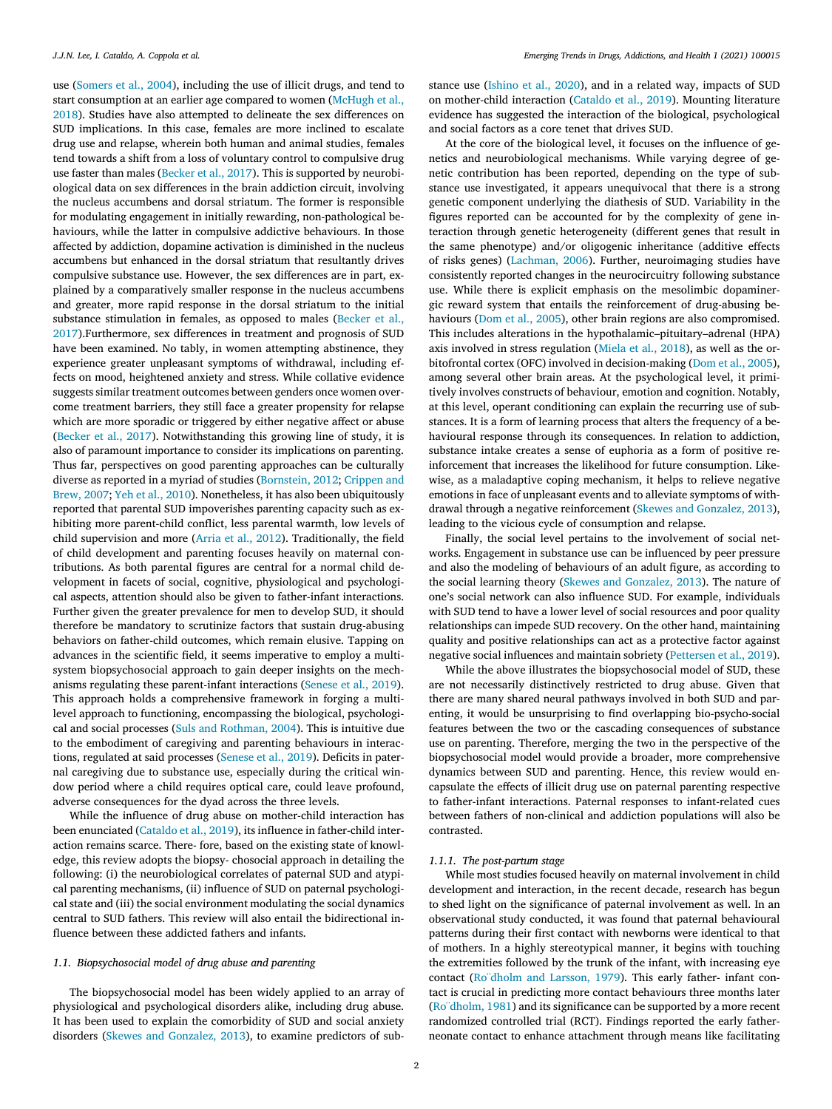use [\(Somers](#page-8-0) et al., 2004), including the use of illicit drugs, and tend to start [consumption](#page-8-0) at an earlier age compared to women (McHugh et al., 2018). Studies have also attempted to delineate the sex differences on SUD implications. In this case, females are more inclined to escalate drug use and relapse, wherein both human and animal studies, females tend towards a shift from a loss of voluntary control to compulsive drug use faster than males [\(Becker](#page-7-0) et al., 2017). This is supported by neurobiological data on sex differences in the brain addiction circuit, involving the nucleus accumbens and dorsal striatum. The former is responsible for modulating engagement in initially rewarding, non-pathological behaviours, while the latter in compulsive addictive behaviours. In those affected by addiction, dopamine activation is diminished in the nucleus accumbens but enhanced in the dorsal striatum that resultantly drives compulsive substance use. However, the sex differences are in part, explained by a comparatively smaller response in the nucleus accumbens and greater, more rapid response in the dorsal striatum to the initial substance stimulation in females, as opposed to males (Becker et al., [2017\).Furthermore,](#page-7-0) sex differences in treatment and prognosis of SUD have been examined. No tably, in women attempting abstinence, they experience greater unpleasant symptoms of withdrawal, including effects on mood, heightened anxiety and stress. While collative evidence suggests similar treatment outcomes between genders once women overcome treatment barriers, they still face a greater propensity for relapse which are more sporadic or triggered by either negative affect or abuse [\(Becker](#page-7-0) et al., 2017). Notwithstanding this growing line of study, it is also of paramount importance to consider its implications on parenting. Thus far, perspectives on good parenting approaches can be culturally diverse as reported in a myriad of studies [\(Bornstein,](#page-7-0) 2012; Crippen and Brew, 2007; Yeh et al., [2010\)](#page-8-0). [Nonetheless,](#page-7-0) it has also been ubiquitously reported that parental SUD impoverishes parenting capacity such as exhibiting more parent-child conflict, less parental warmth, low levels of child supervision and more [\(Arria](#page-7-0) et al., 2012). Traditionally, the field of child development and parenting focuses heavily on maternal contributions. As both parental figures are central for a normal child development in facets of social, cognitive, physiological and psychological aspects, attention should also be given to father-infant interactions. Further given the greater prevalence for men to develop SUD, it should therefore be mandatory to scrutinize factors that sustain drug-abusing behaviors on father-child outcomes, which remain elusive. Tapping on advances in the scientific field, it seems imperative to employ a multisystem biopsychosocial approach to gain deeper insights on the mechanisms regulating these parent-infant interactions [\(Senese](#page-8-0) et al., 2019). This approach holds a comprehensive framework in forging a multilevel approach to functioning, encompassing the biological, psychological and social processes (Suls and [Rothman,](#page-8-0) 2004). This is intuitive due to the embodiment of caregiving and parenting behaviours in interactions, regulated at said processes [\(Senese](#page-8-0) et al., 2019). Deficits in paternal caregiving due to substance use, especially during the critical window period where a child requires optical care, could leave profound, adverse consequences for the dyad across the three levels.

While the influence of drug abuse on mother-child interaction has been enunciated [\(Cataldo](#page-7-0) et al., 2019), its influence in father-child interaction remains scarce. There- fore, based on the existing state of knowledge, this review adopts the biopsy- chosocial approach in detailing the following: (i) the neurobiological correlates of paternal SUD and atypical parenting mechanisms, (ii) influence of SUD on paternal psychological state and (iii) the social environment modulating the social dynamics central to SUD fathers. This review will also entail the bidirectional influence between these addicted fathers and infants.

### *1.1. Biopsychosocial model of drug abuse and parenting*

The biopsychosocial model has been widely applied to an array of physiological and psychological disorders alike, including drug abuse. It has been used to explain the comorbidity of SUD and social anxiety disorders (Skewes and [Gonzalez,](#page-8-0) 2013), to examine predictors of substance use [\(Ishino](#page-7-0) et al., 2020), and in a related way, impacts of SUD on mother-child interaction [\(Cataldo](#page-7-0) et al., 2019). Mounting literature evidence has suggested the interaction of the biological, psychological and social factors as a core tenet that drives SUD.

At the core of the biological level, it focuses on the influence of genetics and neurobiological mechanisms. While varying degree of genetic contribution has been reported, depending on the type of substance use investigated, it appears unequivocal that there is a strong genetic component underlying the diathesis of SUD. Variability in the figures reported can be accounted for by the complexity of gene interaction through genetic heterogeneity (different genes that result in the same phenotype) and/or oligogenic inheritance (additive effects of risks genes) [\(Lachman,](#page-7-0) 2006). Further, neuroimaging studies have consistently reported changes in the neurocircuitry following substance use. While there is explicit emphasis on the mesolimbic dopaminergic reward system that entails the reinforcement of drug-abusing behaviours (Dom et al., [2005\)](#page-7-0), other brain regions are also compromised. This includes alterations in the hypothalamic–pituitary–adrenal (HPA) axis involved in stress regulation [\(Miela](#page-8-0) et al., 2018), as well as the orbitofrontal cortex (OFC) involved in decision-making (Dom et al., [2005\)](#page-7-0), among several other brain areas. At the psychological level, it primitively involves constructs of behaviour, emotion and cognition. Notably, at this level, operant conditioning can explain the recurring use of substances. It is a form of learning process that alters the frequency of a behavioural response through its consequences. In relation to addiction, substance intake creates a sense of euphoria as a form of positive reinforcement that increases the likelihood for future consumption. Likewise, as a maladaptive coping mechanism, it helps to relieve negative emotions in face of unpleasant events and to alleviate symptoms of withdrawal through a negative reinforcement (Skewes and [Gonzalez,](#page-8-0) 2013), leading to the vicious cycle of consumption and relapse.

Finally, the social level pertains to the involvement of social networks. Engagement in substance use can be influenced by peer pressure and also the modeling of behaviours of an adult figure, as according to the social learning theory (Skewes and [Gonzalez,](#page-8-0) 2013). The nature of one's social network can also influence SUD. For example, individuals with SUD tend to have a lower level of social resources and poor quality relationships can impede SUD recovery. On the other hand, maintaining quality and positive relationships can act as a protective factor against negative social influences and maintain sobriety [\(Pettersen](#page-8-0) et al., 2019).

While the above illustrates the biopsychosocial model of SUD, these are not necessarily distinctively restricted to drug abuse. Given that there are many shared neural pathways involved in both SUD and parenting, it would be unsurprising to find overlapping bio-psycho-social features between the two or the cascading consequences of substance use on parenting. Therefore, merging the two in the perspective of the biopsychosocial model would provide a broader, more comprehensive dynamics between SUD and parenting. Hence, this review would encapsulate the effects of illicit drug use on paternal parenting respective to father-infant interactions. Paternal responses to infant-related cues between fathers of non-clinical and addiction populations will also be contrasted.

### *1.1.1. The post-partum stage*

While most studies focused heavily on maternal involvement in child development and interaction, in the recent decade, research has begun to shed light on the significance of paternal involvement as well. In an observational study conducted, it was found that paternal behavioural patterns during their first contact with newborns were identical to that of mothers. In a highly stereotypical manner, it begins with touching the extremities followed by the trunk of the infant, with increasing eye contact [\(Ro¨dholm](#page-8-0) and Larsson, 1979). This early father- infant contact is crucial in predicting more contact behaviours three months later [\(Ro¨dholm,](#page-8-0) 1981) and its significance can be supported by a more recent randomized controlled trial (RCT). Findings reported the early fatherneonate contact to enhance attachment through means like facilitating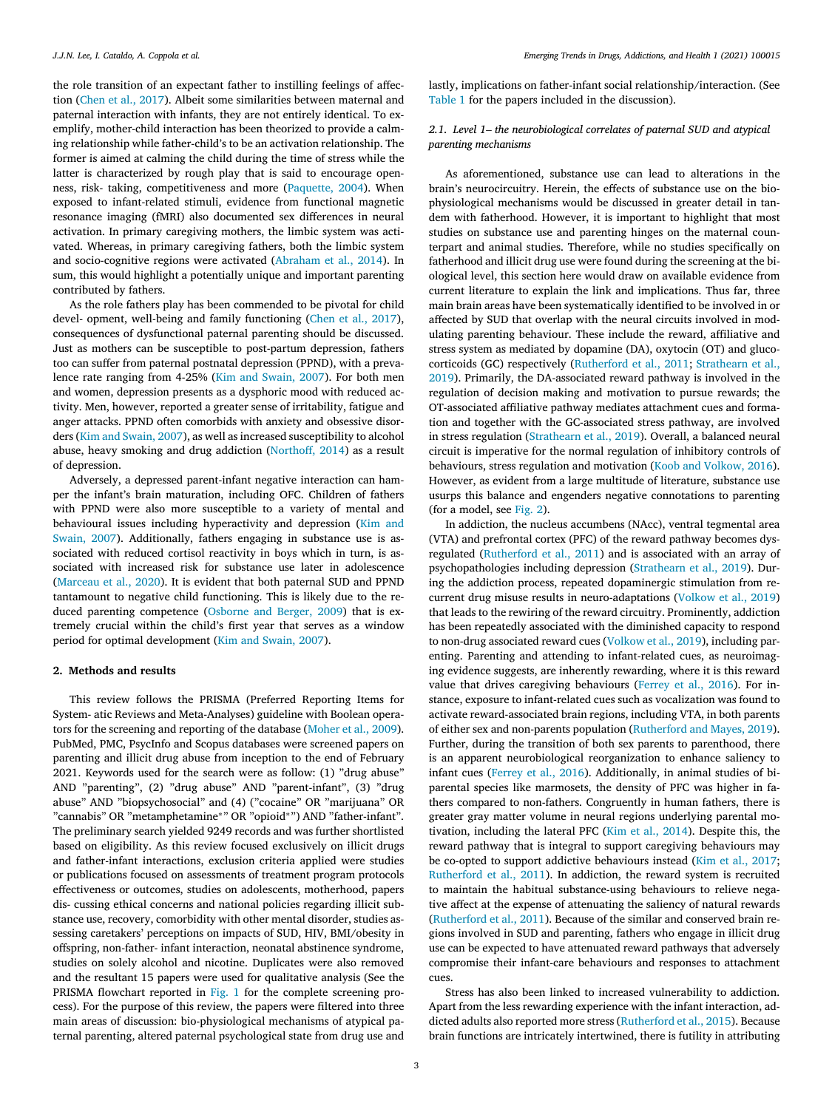the role transition of an expectant father to instilling feelings of affection (Chen et al., [2017\)](#page-7-0). Albeit some similarities between maternal and paternal interaction with infants, they are not entirely identical. To exemplify, mother-child interaction has been theorized to provide a calming relationship while father-child's to be an activation relationship. The former is aimed at calming the child during the time of stress while the latter is characterized by rough play that is said to encourage openness, risk- taking, competitiveness and more [\(Paquette,](#page-8-0) 2004). When exposed to infant-related stimuli, evidence from functional magnetic resonance imaging (fMRI) also documented sex differences in neural activation. In primary caregiving mothers, the limbic system was activated. Whereas, in primary caregiving fathers, both the limbic system and socio-cognitive regions were activated [\(Abraham](#page-7-0) et al., 2014). In sum, this would highlight a potentially unique and important parenting contributed by fathers.

As the role fathers play has been commended to be pivotal for child devel- opment, well-being and family functioning (Chen et al., [2017\)](#page-7-0), consequences of dysfunctional paternal parenting should be discussed. Just as mothers can be susceptible to post-partum depression, fathers too can suffer from paternal postnatal depression (PPND), with a prevalence rate ranging from 4-25% (Kim and [Swain,](#page-7-0) 2007). For both men and women, depression presents as a dysphoric mood with reduced activity. Men, however, reported a greater sense of irritability, fatigue and anger attacks. PPND often comorbids with anxiety and obsessive disor-ders (Kim and [Swain,](#page-7-0) 2007), as well as increased susceptibility to alcohol abuse, heavy smoking and drug addiction [\(Northoff,](#page-8-0) 2014) as a result of depression.

Adversely, a depressed parent-infant negative interaction can hamper the infant's brain maturation, including OFC. Children of fathers with PPND were also more susceptible to a variety of mental and behavioural issues including [hyperactivity](#page-7-0) and depression (Kim and Swain, 2007). Additionally, fathers engaging in substance use is associated with reduced cortisol reactivity in boys which in turn, is associated with increased risk for substance use later in adolescence [\(Marceau](#page-7-0) et al., 2020). It is evident that both paternal SUD and PPND tantamount to negative child functioning. This is likely due to the reduced parenting competence [\(Osborne](#page-8-0) and Berger, 2009) that is extremely crucial within the child's first year that serves as a window period for optimal development (Kim and [Swain,](#page-7-0) 2007).

#### **2. Methods and results**

This review follows the PRISMA (Preferred Reporting Items for System- atic Reviews and Meta-Analyses) guideline with Boolean operators for the screening and reporting of the database [\(Moher](#page-8-0) et al., 2009). PubMed, PMC, PsycInfo and Scopus databases were screened papers on parenting and illicit drug abuse from inception to the end of February 2021. Keywords used for the search were as follow: (1) "drug abuse" AND "parenting", (2) "drug abuse" AND "parent-infant", (3) "drug abuse" AND "biopsychosocial" and (4) ("cocaine" OR "marijuana" OR "cannabis" OR "metamphetamine∗" OR "opioid∗") AND "father-infant". The preliminary search yielded 9249 records and was further shortlisted based on eligibility. As this review focused exclusively on illicit drugs and father-infant interactions, exclusion criteria applied were studies or publications focused on assessments of treatment program protocols effectiveness or outcomes, studies on adolescents, motherhood, papers dis- cussing ethical concerns and national policies regarding illicit substance use, recovery, comorbidity with other mental disorder, studies assessing caretakers' perceptions on impacts of SUD, HIV, BMI/obesity in offspring, non-father- infant interaction, neonatal abstinence syndrome, studies on solely alcohol and nicotine. Duplicates were also removed and the resultant 15 papers were used for qualitative analysis (See the PRISMA flowchart reported in [Fig.](#page-3-0) 1 for the complete screening process). For the purpose of this review, the papers were filtered into three main areas of discussion: bio-physiological mechanisms of atypical paternal parenting, altered paternal psychological state from drug use and

lastly, implications on father-infant social relationship/interaction. (See [Table](#page-3-0) 1 for the papers included in the discussion).

# *2.1. Level 1– the neurobiological correlates of paternal SUD and atypical parenting mechanisms*

As aforementioned, substance use can lead to alterations in the brain's neurocircuitry. Herein, the effects of substance use on the biophysiological mechanisms would be discussed in greater detail in tandem with fatherhood. However, it is important to highlight that most studies on substance use and parenting hinges on the maternal counterpart and animal studies. Therefore, while no studies specifically on fatherhood and illicit drug use were found during the screening at the biological level, this section here would draw on available evidence from current literature to explain the link and implications. Thus far, three main brain areas have been systematically identified to be involved in or affected by SUD that overlap with the neural circuits involved in modulating parenting behaviour. These include the reward, affiliative and stress system as mediated by dopamine (DA), oxytocin (OT) and glucocorticoids (GC) respectively [\(Rutherford](#page-8-0) et al., 2011; Strathearn et al., 2019). Primarily, the [DA-associated](#page-8-0) reward pathway is involved in the regulation of decision making and motivation to pursue rewards; the OT-associated affiliative pathway mediates attachment cues and formation and together with the GC-associated stress pathway, are involved in stress regulation [\(Strathearn](#page-8-0) et al., 2019). Overall, a balanced neural circuit is imperative for the normal regulation of inhibitory controls of behaviours, stress regulation and motivation (Koob and [Volkow,](#page-7-0) 2016). However, as evident from a large multitude of literature, substance use usurps this balance and engenders negative connotations to parenting (for a model, see [Fig.](#page-4-0) 2).

In addiction, the nucleus accumbens (NAcc), ventral tegmental area (VTA) and prefrontal cortex (PFC) of the reward pathway becomes dysregulated [\(Rutherford](#page-8-0) et al., 2011) and is associated with an array of psychopathologies including depression [\(Strathearn](#page-8-0) et al., 2019). During the addiction process, repeated dopaminergic stimulation from recurrent drug misuse results in neuro-adaptations [\(Volkow](#page-8-0) et al., 2019) that leads to the rewiring of the reward circuitry. Prominently, addiction has been repeatedly associated with the diminished capacity to respond to non-drug associated reward cues [\(Volkow](#page-8-0) et al., 2019), including parenting. Parenting and attending to infant-related cues, as neuroimaging evidence suggests, are inherently rewarding, where it is this reward value that drives caregiving behaviours [\(Ferrey](#page-7-0) et al., 2016). For instance, exposure to infant-related cues such as vocalization was found to activate reward-associated brain regions, including VTA, in both parents of either sex and non-parents population [\(Rutherford](#page-8-0) and Mayes, 2019). Further, during the transition of both sex parents to parenthood, there is an apparent neurobiological reorganization to enhance saliency to infant cues [\(Ferrey](#page-7-0) et al., 2016). Additionally, in animal studies of biparental species like marmosets, the density of PFC was higher in fathers compared to non-fathers. Congruently in human fathers, there is greater gray matter volume in neural regions underlying parental motivation, including the lateral PFC (Kim et al., [2014\)](#page-7-0). Despite this, the reward pathway that is integral to support caregiving behaviours may be co-opted to support addictive behaviours instead (Kim et al., [2017;](#page-7-0) [Rutherford](#page-8-0) et al., 2011). In addiction, the reward system is recruited to maintain the habitual substance-using behaviours to relieve negative affect at the expense of attenuating the saliency of natural rewards [\(Rutherford](#page-8-0) et al., 2011). Because of the similar and conserved brain regions involved in SUD and parenting, fathers who engage in illicit drug use can be expected to have attenuated reward pathways that adversely compromise their infant-care behaviours and responses to attachment cues.

Stress has also been linked to increased vulnerability to addiction. Apart from the less rewarding experience with the infant interaction, addicted adults also reported more stress [\(Rutherford](#page-8-0) et al., 2015). Because brain functions are intricately intertwined, there is futility in attributing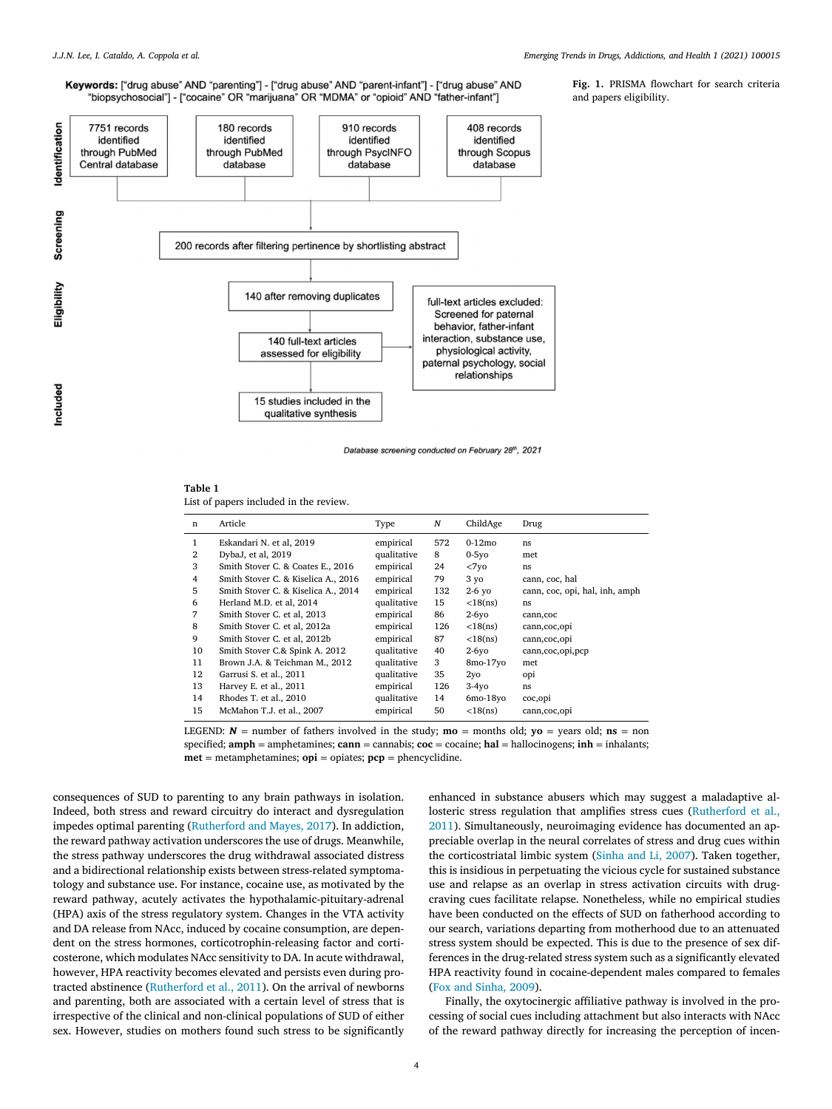# <span id="page-3-0"></span>Keywords: ["drug abuse" AND "parenting"] - ["drug abuse" AND "parent-infant"] - ["drug abuse" AND "biopsychosocial"] - ["cocaine" OR "marijuana" OR "MDMA" or "opioid" AND "father-infant"]



Database screening conducted on February 28th, 2021

# **Table 1**

List of papers included in the review.

| n              | Article                             | Type        | N   | ChildAge        | Drug                           |
|----------------|-------------------------------------|-------------|-----|-----------------|--------------------------------|
| 1              | Eskandari N. et al, 2019            | empirical   | 572 | $0-12$ mo       | ns                             |
| $\overline{2}$ | DybaJ, et al, 2019                  | qualitative | 8   | $0-5y$ o        | met                            |
| 3              | Smith Stover C. & Coates E., 2016   | empirical   | 24  | $<7$ yo         | ns.                            |
| 4              | Smith Stover C. & Kiselica A., 2016 | empirical   | 79  | 3 yo            | cann, coc, hal                 |
| 5              | Smith Stover C. & Kiselica A., 2014 | empirical   | 132 | $2-6$ yo        | cann, coc, opi, hal, inh, amph |
| 6              | Herland M.D. et al, 2014            | qualitative | 15  | $<$ 18 $(ns)$   | ns.                            |
| 7              | Smith Stover C. et al, 2013         | empirical   | 86  | $2-6y$ o        | cann, coc                      |
| 8              | Smith Stover C. et al, 2012a        | empirical   | 126 | $<$ 18 $(ns)$   | cann, coc, opi                 |
| 9              | Smith Stover C. et al, 2012b        | empirical   | 87  | $<$ 18 $(ns)$   | cann, coc, opi                 |
| 10             | Smith Stover C.& Spink A. 2012      | qualitative | 40  | $2-6y$ o        | cann, coc, opi, pcp            |
| 11             | Brown J.A. & Teichman M., 2012      | qualitative | 3   | 8mo-17yo        | met                            |
| 12             | Garrusi S. et al., 2011             | qualitative | 35  | 2y <sub>o</sub> | opi                            |
| 13             | Harvey E. et al., 2011              | empirical   | 126 | $3-4yO$         | ns                             |
| 14             | Rhodes T. et al., 2010              | qualitative | 14  | $6mo-18$ yo     | coc,opi                        |
| 15             | McMahon T.J. et al., 2007           | empirical   | 50  | $<$ 18 $(ns)$   | cann, coc, opi                 |

LEGEND:  $N =$  number of fathers involved in the study; **mo** = months old; **yo** = years old; **ns** = non specified; **amph** = amphetamines; **cann** = cannabis; **coc** = cocaine; **hal** = hallocinogens; **inh** = inhalants; **met** = metamphetamines; **opi** = opiates; **pcp** = phencyclidine.

consequences of SUD to parenting to any brain pathways in isolation. Indeed, both stress and reward circuitry do interact and dysregulation impedes optimal parenting [\(Rutherford](#page-8-0) and Mayes, 2017). In addiction, the reward pathway activation underscores the use of drugs. Meanwhile, the stress pathway underscores the drug withdrawal associated distress and a bidirectional relationship exists between stress-related symptomatology and substance use. For instance, cocaine use, as motivated by the reward pathway, acutely activates the hypothalamic-pituitary-adrenal (HPA) axis of the stress regulatory system. Changes in the VTA activity and DA release from NAcc, induced by cocaine consumption, are dependent on the stress hormones, corticotrophin-releasing factor and corticosterone, which modulates NAcc sensitivity to DA. In acute withdrawal, however, HPA reactivity becomes elevated and persists even during protracted abstinence [\(Rutherford](#page-8-0) et al., 2011). On the arrival of newborns and parenting, both are associated with a certain level of stress that is irrespective of the clinical and non-clinical populations of SUD of either sex. However, studies on mothers found such stress to be significantly

enhanced in substance abusers which may suggest a maladaptive allosteric stress regulation that amplifies stress cues (Rutherford et al., 2011). [Simultaneously,](#page-8-0) neuroimaging evidence has documented an appreciable overlap in the neural correlates of stress and drug cues within the corticostriatal limbic system [\(Sinha](#page-8-0) and Li, 2007). Taken together, this is insidious in perpetuating the vicious cycle for sustained substance use and relapse as an overlap in stress activation circuits with drugcraving cues facilitate relapse. Nonetheless, while no empirical studies have been conducted on the effects of SUD on fatherhood according to our search, variations departing from motherhood due to an attenuated stress system should be expected. This is due to the presence of sex differences in the drug-related stress system such as a significantly elevated HPA reactivity found in cocaine-dependent males compared to females (Fox and [Sinha,](#page-7-0) 2009).

Finally, the oxytocinergic affiliative pathway is involved in the processing of social cues including attachment but also interacts with NAcc of the reward pathway directly for increasing the perception of incen-

**Fig. 1.** PRISMA flowchart for search criteria and papers eligibility.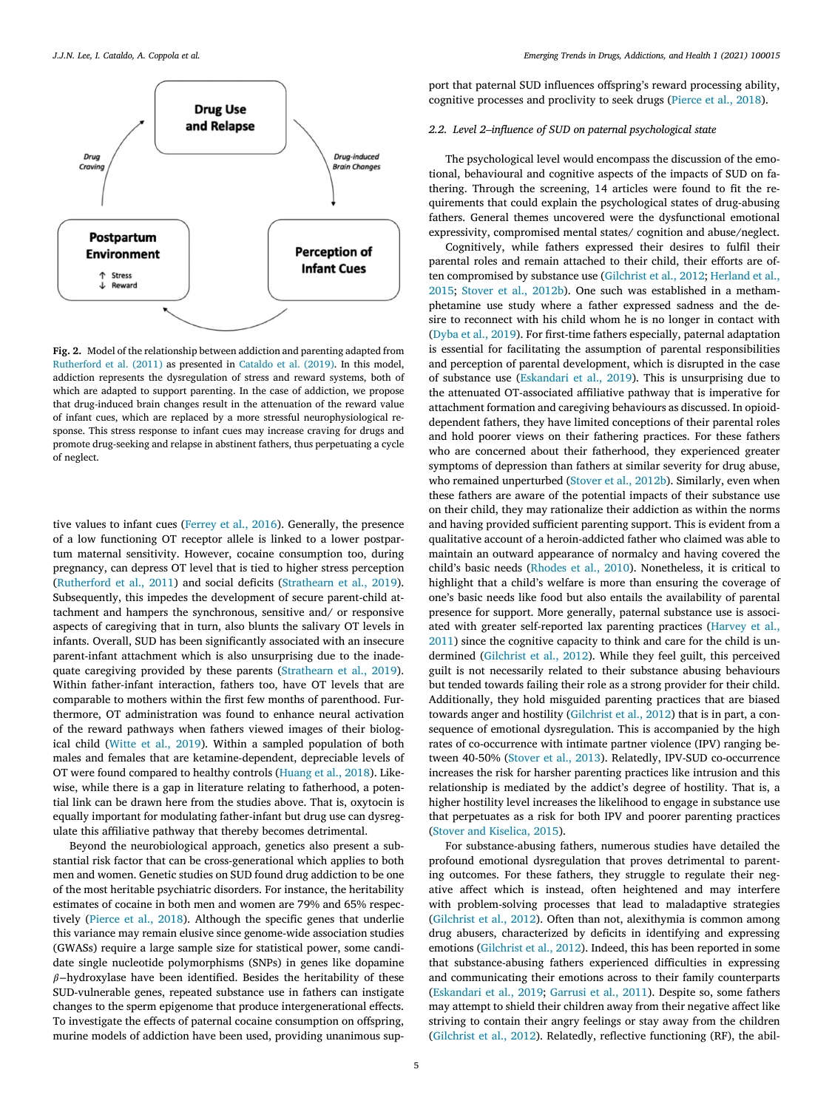<span id="page-4-0"></span>

**Fig. 2.** Model of the relationship between addiction and parenting adapted from [Rutherford](#page-8-0) et al. (2011) as presented in [Cataldo](#page-7-0) et al. (2019). In this model, addiction represents the dysregulation of stress and reward systems, both of which are adapted to support parenting. In the case of addiction, we propose that drug-induced brain changes result in the attenuation of the reward value of infant cues, which are replaced by a more stressful neurophysiological response. This stress response to infant cues may increase craving for drugs and promote drug-seeking and relapse in abstinent fathers, thus perpetuating a cycle of neglect.

tive values to infant cues [\(Ferrey](#page-7-0) et al., 2016). Generally, the presence of a low functioning OT receptor allele is linked to a lower postpartum maternal sensitivity. However, cocaine consumption too, during pregnancy, can depress OT level that is tied to higher stress perception [\(Rutherford](#page-8-0) et al., 2011) and social deficits [\(Strathearn](#page-8-0) et al., 2019). Subsequently, this impedes the development of secure parent-child attachment and hampers the synchronous, sensitive and/ or responsive aspects of caregiving that in turn, also blunts the salivary OT levels in infants. Overall, SUD has been significantly associated with an insecure parent-infant attachment which is also unsurprising due to the inadequate caregiving provided by these parents [\(Strathearn](#page-8-0) et al., 2019). Within father-infant interaction, fathers too, have OT levels that are comparable to mothers within the first few months of parenthood. Furthermore, OT administration was found to enhance neural activation of the reward pathways when fathers viewed images of their biological child [\(Witte](#page-8-0) et al., 2019). Within a sampled population of both males and females that are ketamine-dependent, depreciable levels of OT were found compared to healthy controls [\(Huang](#page-7-0) et al., 2018). Likewise, while there is a gap in literature relating to fatherhood, a potential link can be drawn here from the studies above. That is, oxytocin is equally important for modulating father-infant but drug use can dysregulate this affiliative pathway that thereby becomes detrimental.

Beyond the neurobiological approach, genetics also present a substantial risk factor that can be cross-generational which applies to both men and women. Genetic studies on SUD found drug addiction to be one of the most heritable psychiatric disorders. For instance, the heritability estimates of cocaine in both men and women are 79% and 65% respectively [\(Pierce](#page-8-0) et al., 2018). Although the specific genes that underlie this variance may remain elusive since genome-wide association studies (GWASs) require a large sample size for statistical power, some candidate single nucleotide polymorphisms (SNPs) in genes like dopamine  $\beta$ −hydroxylase have been identified. Besides the heritability of these SUD-vulnerable genes, repeated substance use in fathers can instigate changes to the sperm epigenome that produce intergenerational effects. To investigate the effects of paternal cocaine consumption on offspring, murine models of addiction have been used, providing unanimous sup-

port that paternal SUD influences offspring's reward processing ability, cognitive processes and proclivity to seek drugs [\(Pierce](#page-8-0) et al., 2018).

# *2.2. Level 2–influence of SUD on paternal psychological state*

The psychological level would encompass the discussion of the emotional, behavioural and cognitive aspects of the impacts of SUD on fathering. Through the screening, 14 articles were found to fit the requirements that could explain the psychological states of drug-abusing fathers. General themes uncovered were the dysfunctional emotional expressivity, compromised mental states/ cognition and abuse/neglect.

Cognitively, while fathers expressed their desires to fulfil their parental roles and remain attached to their child, their efforts are often [compromised](#page-7-0) by substance use [\(Gilchrist](#page-7-0) et al., 2012; Herland et al., 2015; Stover et al., [2012b\)](#page-8-0). One such was established in a methamphetamine use study where a father expressed sadness and the desire to reconnect with his child whom he is no longer in contact with [\(Dyba](#page-7-0) et al., 2019). For first-time fathers especially, paternal adaptation is essential for facilitating the assumption of parental responsibilities and perception of parental development, which is disrupted in the case of substance use [\(Eskandari](#page-7-0) et al., 2019). This is unsurprising due to the attenuated OT-associated affiliative pathway that is imperative for attachment formation and caregiving behaviours as discussed. In opioiddependent fathers, they have limited conceptions of their parental roles and hold poorer views on their fathering practices. For these fathers who are concerned about their fatherhood, they experienced greater symptoms of depression than fathers at similar severity for drug abuse, who remained unperturbed [\(Stover](#page-8-0) et al., 2012b). Similarly, even when these fathers are aware of the potential impacts of their substance use on their child, they may rationalize their addiction as within the norms and having provided sufficient parenting support. This is evident from a qualitative account of a heroin-addicted father who claimed was able to maintain an outward appearance of normalcy and having covered the child's basic needs [\(Rhodes](#page-8-0) et al., 2010). Nonetheless, it is critical to highlight that a child's welfare is more than ensuring the coverage of one's basic needs like food but also entails the availability of parental presence for support. More generally, paternal substance use is associated with greater [self-reported](#page-7-0) lax parenting practices (Harvey et al., 2011) since the cognitive capacity to think and care for the child is undermined [\(Gilchrist](#page-7-0) et al., 2012). While they feel guilt, this perceived guilt is not necessarily related to their substance abusing behaviours but tended towards failing their role as a strong provider for their child. Additionally, they hold misguided parenting practices that are biased towards anger and hostility [\(Gilchrist](#page-7-0) et al., 2012) that is in part, a consequence of emotional dysregulation. This is accompanied by the high rates of co-occurrence with intimate partner violence (IPV) ranging between 40-50% [\(Stover](#page-8-0) et al., 2013). Relatedly, IPV-SUD co-occurrence increases the risk for harsher parenting practices like intrusion and this relationship is mediated by the addict's degree of hostility. That is, a higher hostility level increases the likelihood to engage in substance use that perpetuates as a risk for both IPV and poorer parenting practices (Stover and [Kiselica,](#page-8-0) 2015).

For substance-abusing fathers, numerous studies have detailed the profound emotional dysregulation that proves detrimental to parenting outcomes. For these fathers, they struggle to regulate their negative affect which is instead, often heightened and may interfere with problem-solving processes that lead to maladaptive strategies [\(Gilchrist](#page-7-0) et al., 2012). Often than not, alexithymia is common among drug abusers, characterized by deficits in identifying and expressing emotions [\(Gilchrist](#page-7-0) et al., 2012). Indeed, this has been reported in some that substance-abusing fathers experienced difficulties in expressing and communicating their emotions across to their family counterparts [\(Eskandari](#page-7-0) et al., 2019; [Garrusi](#page-7-0) et al., 2011). Despite so, some fathers may attempt to shield their children away from their negative affect like striving to contain their angry feelings or stay away from the children [\(Gilchrist](#page-7-0) et al., 2012). Relatedly, reflective functioning (RF), the abil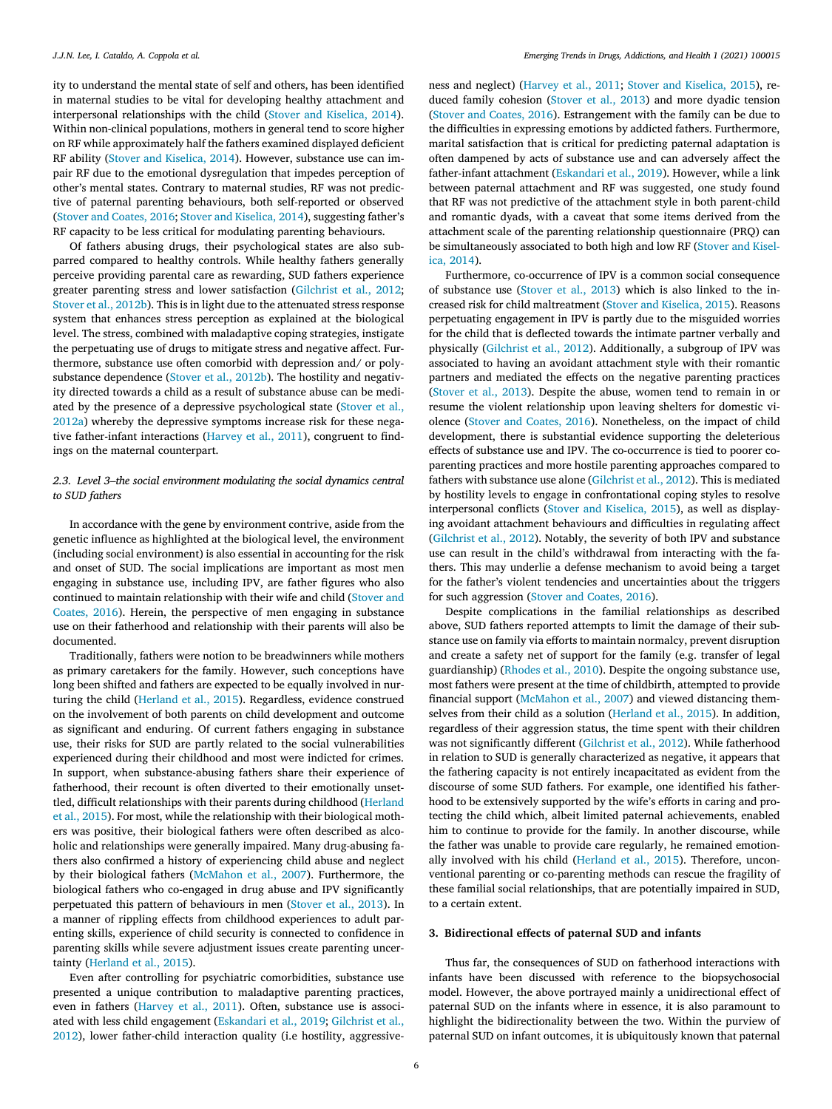ity to understand the mental state of self and others, has been identified in maternal studies to be vital for developing healthy attachment and interpersonal relationships with the child (Stover and [Kiselica,](#page-8-0) 2014). Within non-clinical populations, mothers in general tend to score higher on RF while approximately half the fathers examined displayed deficient RF ability (Stover and [Kiselica,](#page-8-0) 2014). However, substance use can impair RF due to the emotional dysregulation that impedes perception of other's mental states. Contrary to maternal studies, RF was not predictive of paternal parenting behaviours, both self-reported or observed (Stover and [Coates,](#page-8-0) 2016; Stover and [Kiselica,](#page-8-0) 2014), suggesting father's RF capacity to be less critical for modulating parenting behaviours.

Of fathers abusing drugs, their psychological states are also subparred compared to healthy controls. While healthy fathers generally perceive providing parental care as rewarding, SUD fathers experience greater parenting stress and lower satisfaction [\(Gilchrist](#page-7-0) et al., 2012; Stover et al., [2012b\)](#page-8-0). This is in light due to the attenuated stress response system that enhances stress perception as explained at the biological level. The stress, combined with maladaptive coping strategies, instigate the perpetuating use of drugs to mitigate stress and negative affect. Furthermore, substance use often comorbid with depression and/ or polysubstance dependence (Stover et al., [2012b\)](#page-8-0). The hostility and negativity directed towards a child as a result of substance abuse can be mediated by the presence of a depressive [psychological](#page-8-0) state (Stover et al., 2012a) whereby the depressive symptoms increase risk for these negative father-infant interactions [\(Harvey](#page-7-0) et al., 2011), congruent to findings on the maternal counterpart.

# *2.3. Level 3–the social environment modulating the social dynamics central to SUD fathers*

In accordance with the gene by environment contrive, aside from the genetic influence as highlighted at the biological level, the environment (including social environment) is also essential in accounting for the risk and onset of SUD. The social implications are important as most men engaging in substance use, including IPV, are father figures who also continued to maintain [relationship](#page-8-0) with their wife and child (Stover and Coates, 2016). Herein, the perspective of men engaging in substance use on their fatherhood and relationship with their parents will also be documented.

Traditionally, fathers were notion to be breadwinners while mothers as primary caretakers for the family. However, such conceptions have long been shifted and fathers are expected to be equally involved in nurturing the child [\(Herland](#page-7-0) et al., 2015). Regardless, evidence construed on the involvement of both parents on child development and outcome as significant and enduring. Of current fathers engaging in substance use, their risks for SUD are partly related to the social vulnerabilities experienced during their childhood and most were indicted for crimes. In support, when substance-abusing fathers share their experience of fatherhood, their recount is often diverted to their emotionally unsettled, difficult [relationships](#page-7-0) with their parents during childhood (Herland et al., 2015). For most, while the relationship with their biological mothers was positive, their biological fathers were often described as alcoholic and relationships were generally impaired. Many drug-abusing fathers also confirmed a history of experiencing child abuse and neglect by their biological fathers [\(McMahon](#page-8-0) et al., 2007). Furthermore, the biological fathers who co-engaged in drug abuse and IPV significantly perpetuated this pattern of behaviours in men [\(Stover](#page-8-0) et al., 2013). In a manner of rippling effects from childhood experiences to adult parenting skills, experience of child security is connected to confidence in parenting skills while severe adjustment issues create parenting uncertainty [\(Herland](#page-7-0) et al., 2015).

Even after controlling for psychiatric comorbidities, substance use presented a unique contribution to maladaptive parenting practices, even in fathers [\(Harvey](#page-7-0) et al., 2011). Often, substance use is associated with less child [engagement](#page-7-0) [\(Eskandari](#page-7-0) et al., 2019; Gilchrist et al., 2012), lower father-child interaction quality (i.e hostility, aggressiveness and neglect) [\(Harvey](#page-7-0) et al., 2011; Stover and [Kiselica,](#page-8-0) 2015), reduced family cohesion [\(Stover](#page-8-0) et al., 2013) and more dyadic tension (Stover and [Coates,](#page-8-0) 2016). Estrangement with the family can be due to the difficulties in expressing emotions by addicted fathers. Furthermore, marital satisfaction that is critical for predicting paternal adaptation is often dampened by acts of substance use and can adversely affect the father-infant attachment [\(Eskandari](#page-7-0) et al., 2019). However, while a link between paternal attachment and RF was suggested, one study found that RF was not predictive of the attachment style in both parent-child and romantic dyads, with a caveat that some items derived from the attachment scale of the parenting relationship questionnaire (PRQ) can be [simultaneously](#page-8-0) associated to both high and low RF (Stover and Kiselica, 2014).

Furthermore, co-occurrence of IPV is a common social consequence of substance use [\(Stover](#page-8-0) et al., 2013) which is also linked to the increased risk for child maltreatment (Stover and [Kiselica,](#page-8-0) 2015). Reasons perpetuating engagement in IPV is partly due to the misguided worries for the child that is deflected towards the intimate partner verbally and physically [\(Gilchrist](#page-7-0) et al., 2012). Additionally, a subgroup of IPV was associated to having an avoidant attachment style with their romantic partners and mediated the effects on the negative parenting practices [\(Stover](#page-8-0) et al., 2013). Despite the abuse, women tend to remain in or resume the violent relationship upon leaving shelters for domestic violence (Stover and [Coates,](#page-8-0) 2016). Nonetheless, on the impact of child development, there is substantial evidence supporting the deleterious effects of substance use and IPV. The co-occurrence is tied to poorer coparenting practices and more hostile parenting approaches compared to fathers with substance use alone [\(Gilchrist](#page-7-0) et al., 2012). This is mediated by hostility levels to engage in confrontational coping styles to resolve interpersonal conflicts (Stover and [Kiselica,](#page-8-0) 2015), as well as displaying avoidant attachment behaviours and difficulties in regulating affect [\(Gilchrist](#page-7-0) et al., 2012). Notably, the severity of both IPV and substance use can result in the child's withdrawal from interacting with the fathers. This may underlie a defense mechanism to avoid being a target for the father's violent tendencies and uncertainties about the triggers for such aggression (Stover and [Coates,](#page-8-0) 2016).

Despite complications in the familial relationships as described above, SUD fathers reported attempts to limit the damage of their substance use on family via efforts to maintain normalcy, prevent disruption and create a safety net of support for the family (e.g. transfer of legal guardianship) [\(Rhodes](#page-8-0) et al., 2010). Despite the ongoing substance use, most fathers were present at the time of childbirth, attempted to provide financial support [\(McMahon](#page-8-0) et al., 2007) and viewed distancing themselves from their child as a solution [\(Herland](#page-7-0) et al., 2015). In addition, regardless of their aggression status, the time spent with their children was not significantly different [\(Gilchrist](#page-7-0) et al., 2012). While fatherhood in relation to SUD is generally characterized as negative, it appears that the fathering capacity is not entirely incapacitated as evident from the discourse of some SUD fathers. For example, one identified his fatherhood to be extensively supported by the wife's efforts in caring and protecting the child which, albeit limited paternal achievements, enabled him to continue to provide for the family. In another discourse, while the father was unable to provide care regularly, he remained emotionally involved with his child [\(Herland](#page-7-0) et al., 2015). Therefore, unconventional parenting or co-parenting methods can rescue the fragility of these familial social relationships, that are potentially impaired in SUD, to a certain extent.

# **3. Bidirectional effects of paternal SUD and infants**

Thus far, the consequences of SUD on fatherhood interactions with infants have been discussed with reference to the biopsychosocial model. However, the above portrayed mainly a unidirectional effect of paternal SUD on the infants where in essence, it is also paramount to highlight the bidirectionality between the two. Within the purview of paternal SUD on infant outcomes, it is ubiquitously known that paternal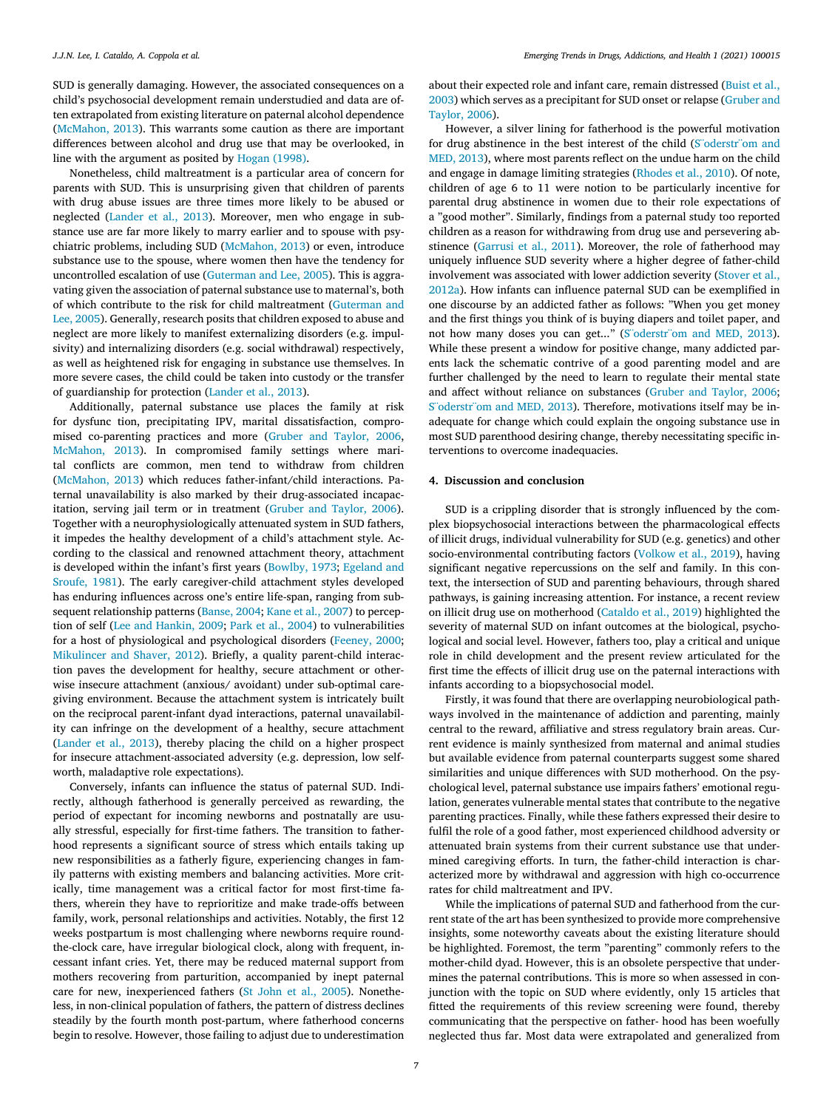SUD is generally damaging. However, the associated consequences on a child's psychosocial development remain understudied and data are often extrapolated from existing literature on paternal alcohol dependence [\(McMahon,](#page-8-0) 2013). This warrants some caution as there are important differences between alcohol and drug use that may be overlooked, in line with the argument as posited by Hogan [\(1998\).](#page-7-0)

Nonetheless, child maltreatment is a particular area of concern for parents with SUD. This is unsurprising given that children of parents with drug abuse issues are three times more likely to be abused or neglected [\(Lander](#page-7-0) et al., 2013). Moreover, men who engage in substance use are far more likely to marry earlier and to spouse with psychiatric problems, including SUD [\(McMahon,](#page-8-0) 2013) or even, introduce substance use to the spouse, where women then have the tendency for uncontrolled escalation of use [\(Guterman](#page-7-0) and Lee, 2005). This is aggravating given the association of paternal substance use to maternal's, both of which contribute to the risk for child [maltreatment](#page-7-0) (Guterman and Lee, 2005). Generally, research posits that children exposed to abuse and neglect are more likely to manifest externalizing disorders (e.g. impulsivity) and internalizing disorders (e.g. social withdrawal) respectively, as well as heightened risk for engaging in substance use themselves. In more severe cases, the child could be taken into custody or the transfer of guardianship for protection [\(Lander](#page-7-0) et al., 2013).

Additionally, paternal substance use places the family at risk for dysfunc tion, precipitating IPV, marital dissatisfaction, compromised co-parenting practices and more [\(Gruber](#page-7-0) and Taylor, 2006, [McMahon,](#page-8-0) 2013). In compromised family settings where marital conflicts are common, men tend to withdraw from children [\(McMahon,](#page-8-0) 2013) which reduces father-infant/child interactions. Paternal unavailability is also marked by their drug-associated incapacitation, serving jail term or in treatment [\(Gruber](#page-7-0) and Taylor, 2006). Together with a neurophysiologically attenuated system in SUD fathers, it impedes the healthy development of a child's attachment style. According to the classical and renowned attachment theory, attachment is developed within the infant's first years [\(Bowlby,](#page-7-0) 1973; Egeland and Sroufe, 1981). The early [caregiver-child](#page-7-0) attachment styles developed has enduring influences across one's entire life-span, ranging from subsequent relationship patterns [\(Banse,](#page-7-0) 2004; Kane et al., [2007\)](#page-7-0) to perception of self (Lee and [Hankin,](#page-7-0) 2009; Park et al., [2004\)](#page-8-0) to vulnerabilities for a host of physiological and psychological disorders [\(Feeney,](#page-7-0) 2000; [Mikulincer](#page-8-0) and Shaver, 2012). Briefly, a quality parent-child interaction paves the development for healthy, secure attachment or otherwise insecure attachment (anxious/ avoidant) under sub-optimal caregiving environment. Because the attachment system is intricately built on the reciprocal parent-infant dyad interactions, paternal unavailability can infringe on the development of a healthy, secure attachment [\(Lander](#page-7-0) et al., 2013), thereby placing the child on a higher prospect for insecure attachment-associated adversity (e.g. depression, low selfworth, maladaptive role expectations).

Conversely, infants can influence the status of paternal SUD. Indirectly, although fatherhood is generally perceived as rewarding, the period of expectant for incoming newborns and postnatally are usually stressful, especially for first-time fathers. The transition to fatherhood represents a significant source of stress which entails taking up new responsibilities as a fatherly figure, experiencing changes in family patterns with existing members and balancing activities. More critically, time management was a critical factor for most first-time fathers, wherein they have to reprioritize and make trade-offs between family, work, personal relationships and activities. Notably, the first 12 weeks postpartum is most challenging where newborns require roundthe-clock care, have irregular biological clock, along with frequent, incessant infant cries. Yet, there may be reduced maternal support from mothers recovering from parturition, accompanied by inept paternal care for new, inexperienced fathers (St John et al., [2005\)](#page-8-0). Nonetheless, in non-clinical population of fathers, the pattern of distress declines steadily by the fourth month post-partum, where fatherhood concerns begin to resolve. However, those failing to adjust due to underestimation

about their expected role and infant care, remain distressed (Buist et al., 2003) which serves as a [precipitant](#page-7-0) for SUD onset or relapse (Gruber and Taylor, 2006).

However, a silver lining for fatherhood is the powerful motivation for drug abstinence in the best interest of the child [\(S¨oderstr¨om](#page-8-0) and MED, 2013), where most parents reflect on the undue harm on the child and engage in damage limiting strategies [\(Rhodes](#page-8-0) et al., 2010). Of note, children of age 6 to 11 were notion to be particularly incentive for parental drug abstinence in women due to their role expectations of a "good mother". Similarly, findings from a paternal study too reported children as a reason for withdrawing from drug use and persevering abstinence [\(Garrusi](#page-7-0) et al., 2011). Moreover, the role of fatherhood may uniquely influence SUD severity where a higher degree of father-child [involvement](#page-8-0) was associated with lower addiction severity (Stover et al., 2012a). How infants can influence paternal SUD can be exemplified in one discourse by an addicted father as follows: "When you get money and the first things you think of is buying diapers and toilet paper, and not how many doses you can get..." [\(S¨oderstr¨om](#page-8-0) and MED, 2013). While these present a window for positive change, many addicted parents lack the schematic contrive of a good parenting model and are further challenged by the need to learn to regulate their mental state and affect without reliance on substances [\(Gruber](#page-7-0) and Taylor, 2006; [S¨oderstr¨om](#page-8-0) and MED, 2013). Therefore, motivations itself may be inadequate for change which could explain the ongoing substance use in most SUD parenthood desiring change, thereby necessitating specific interventions to overcome inadequacies.

# **4. Discussion and conclusion**

SUD is a crippling disorder that is strongly influenced by the complex biopsychosocial interactions between the pharmacological effects of illicit drugs, individual vulnerability for SUD (e.g. genetics) and other socio-environmental contributing factors [\(Volkow](#page-8-0) et al., 2019), having significant negative repercussions on the self and family. In this context, the intersection of SUD and parenting behaviours, through shared pathways, is gaining increasing attention. For instance, a recent review on illicit drug use on motherhood [\(Cataldo](#page-7-0) et al., 2019) highlighted the severity of maternal SUD on infant outcomes at the biological, psychological and social level. However, fathers too, play a critical and unique role in child development and the present review articulated for the first time the effects of illicit drug use on the paternal interactions with infants according to a biopsychosocial model.

Firstly, it was found that there are overlapping neurobiological pathways involved in the maintenance of addiction and parenting, mainly central to the reward, affiliative and stress regulatory brain areas. Current evidence is mainly synthesized from maternal and animal studies but available evidence from paternal counterparts suggest some shared similarities and unique differences with SUD motherhood. On the psychological level, paternal substance use impairs fathers' emotional regulation, generates vulnerable mental states that contribute to the negative parenting practices. Finally, while these fathers expressed their desire to fulfil the role of a good father, most experienced childhood adversity or attenuated brain systems from their current substance use that undermined caregiving efforts. In turn, the father-child interaction is characterized more by withdrawal and aggression with high co-occurrence rates for child maltreatment and IPV.

While the implications of paternal SUD and fatherhood from the current state of the art has been synthesized to provide more comprehensive insights, some noteworthy caveats about the existing literature should be highlighted. Foremost, the term "parenting" commonly refers to the mother-child dyad. However, this is an obsolete perspective that undermines the paternal contributions. This is more so when assessed in conjunction with the topic on SUD where evidently, only 15 articles that fitted the requirements of this review screening were found, thereby communicating that the perspective on father- hood has been woefully neglected thus far. Most data were extrapolated and generalized from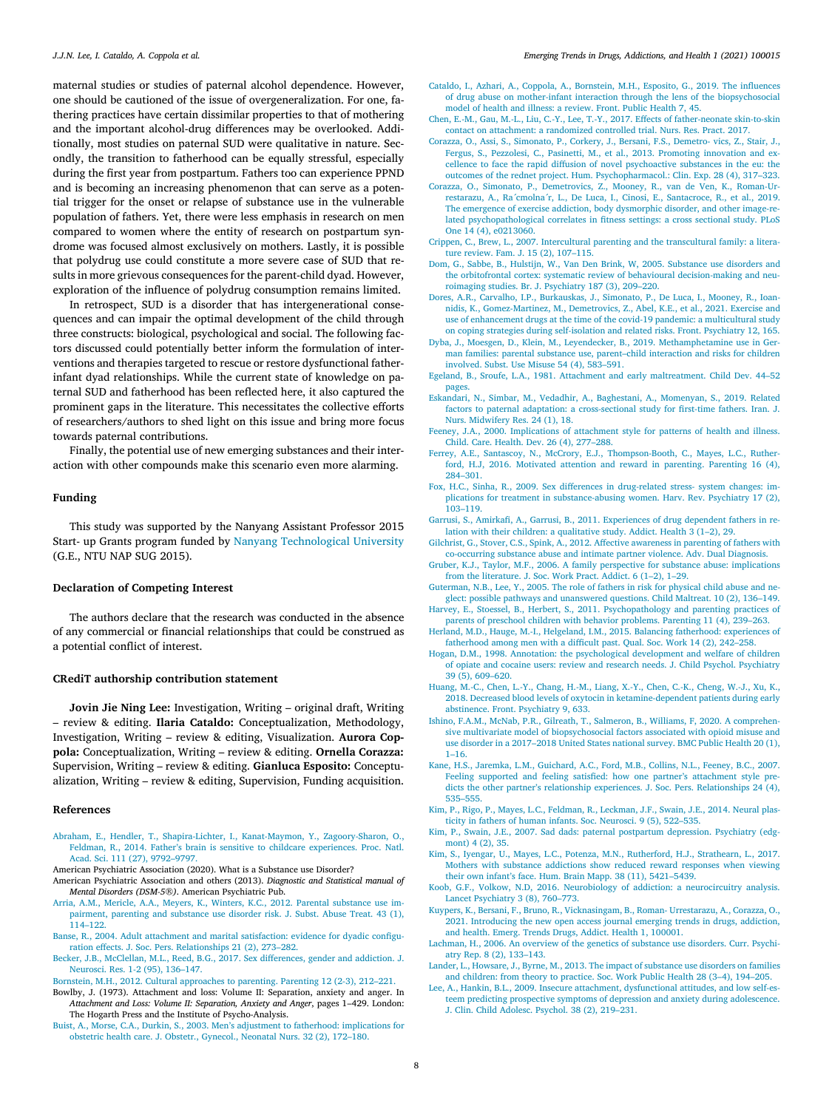<span id="page-7-0"></span>maternal studies or studies of paternal alcohol dependence. However, one should be cautioned of the issue of overgeneralization. For one, fathering practices have certain dissimilar properties to that of mothering and the important alcohol-drug differences may be overlooked. Additionally, most studies on paternal SUD were qualitative in nature. Secondly, the transition to fatherhood can be equally stressful, especially during the first year from postpartum. Fathers too can experience PPND and is becoming an increasing phenomenon that can serve as a potential trigger for the onset or relapse of substance use in the vulnerable population of fathers. Yet, there were less emphasis in research on men compared to women where the entity of research on postpartum syndrome was focused almost exclusively on mothers. Lastly, it is possible that polydrug use could constitute a more severe case of SUD that results in more grievous consequences for the parent-child dyad. However, exploration of the influence of polydrug consumption remains limited.

In retrospect, SUD is a disorder that has intergenerational consequences and can impair the optimal development of the child through three constructs: biological, psychological and social. The following factors discussed could potentially better inform the formulation of interventions and therapies targeted to rescue or restore dysfunctional fatherinfant dyad relationships. While the current state of knowledge on paternal SUD and fatherhood has been reflected here, it also captured the prominent gaps in the literature. This necessitates the collective efforts of researchers/authors to shed light on this issue and bring more focus towards paternal contributions.

Finally, the potential use of new emerging substances and their interaction with other compounds make this scenario even more alarming.

### **Funding**

This study was supported by the Nanyang Assistant Professor 2015 Start- up Grants program funded by Nanyang [Technological](https://doi.org/10.13039/501100001475) University (G.E., NTU NAP SUG 2015).

## **Declaration of Competing Interest**

The authors declare that the research was conducted in the absence of any commercial or financial relationships that could be construed as a potential conflict of interest.

### **CRediT authorship contribution statement**

**Jovin Jie Ning Lee:** Investigation, Writing – original draft, Writing – review & editing. **Ilaria Cataldo:** Conceptualization, Methodology, Investigation, Writing – review & editing, Visualization. **Aurora Coppola:** Conceptualization, Writing – review & editing. **Ornella Corazza:** Supervision, Writing – review & editing. **Gianluca Esposito:** Conceptualization, Writing – review & editing, Supervision, Funding acquisition.

# **References**

- [Abraham,](http://refhub.elsevier.com/S2667-1182(21)00013-1/sbref0001) E., [Hendler,](http://refhub.elsevier.com/S2667-1182(21)00013-1/sbref0001) T., [Shapira-Lichter,](http://refhub.elsevier.com/S2667-1182(21)00013-1/sbref0001) I., [Kanat-Maymon,](http://refhub.elsevier.com/S2667-1182(21)00013-1/sbref0001) Y., [Zagoory-Sharon,](http://refhub.elsevier.com/S2667-1182(21)00013-1/sbref0001) O., [Feldman,](http://refhub.elsevier.com/S2667-1182(21)00013-1/sbref0001) R., 2014. Father's brain is sensitive to childcare [experiences.](http://refhub.elsevier.com/S2667-1182(21)00013-1/sbref0001) Proc. Natl. Acad. Sci. 111 (27), 9792–9797.
- American Psychiatric Association (2020). What is a Substance use Disorder?
- American Psychiatric Association and others (2013). *Diagnostic and Statistical manual of Mental Disorders (DSM-5®)*. American Psychiatric Pub.
- [Arria,](http://refhub.elsevier.com/S2667-1182(21)00013-1/sbref0004) A.M., [Mericle,](http://refhub.elsevier.com/S2667-1182(21)00013-1/sbref0004) A.A., [Meyers,](http://refhub.elsevier.com/S2667-1182(21)00013-1/sbref0004) K., [Winters,](http://refhub.elsevier.com/S2667-1182(21)00013-1/sbref0004) K.C., 2012. Parental [substance](http://refhub.elsevier.com/S2667-1182(21)00013-1/sbref0004) use impairment, parenting and substance use disorder risk. J. Subst. Abuse Treat. 43 (1), 114–122.
- [Banse,](http://refhub.elsevier.com/S2667-1182(21)00013-1/sbref0005) R., 2004. Adult attachment and marital satisfaction: evidence for dyadic configuration effects. J. Soc. Pers. [Relationships](http://refhub.elsevier.com/S2667-1182(21)00013-1/sbref0005) 21 (2), 273–282.
- [Becker,](http://refhub.elsevier.com/S2667-1182(21)00013-1/sbref0006) J.B., [McClellan,](http://refhub.elsevier.com/S2667-1182(21)00013-1/sbref0006) M.L., [Reed,](http://refhub.elsevier.com/S2667-1182(21)00013-1/sbref0006) B.G., 2017. Sex [differences,](http://refhub.elsevier.com/S2667-1182(21)00013-1/sbref0006) gender and addiction. J. Neurosci. Res. 1-2 (95), 136–147.
- [Bornstein,](http://refhub.elsevier.com/S2667-1182(21)00013-1/sbref0007) M.H., 2012. Cultural [approaches](http://refhub.elsevier.com/S2667-1182(21)00013-1/sbref0007) to parenting. Parenting 12 (2-3), 212–221.
- Bowlby, J. (1973). Attachment and loss: Volume II: Separation, anxiety and anger. In *Attachment and Loss: Volume II: Separation, Anxiety and Anger*, pages 1–429. London: The Hogarth Press and the Institute of Psycho-Analysis.
- [Buist,](http://refhub.elsevier.com/S2667-1182(21)00013-1/sbref0009) A., [Morse,](http://refhub.elsevier.com/S2667-1182(21)00013-1/sbref0009) C.A., [Durkin,](http://refhub.elsevier.com/S2667-1182(21)00013-1/sbref0009) S., 2003. Men's adjustment to fatherhood: [implications](http://refhub.elsevier.com/S2667-1182(21)00013-1/sbref0009) for obstetric health care. J. Obstetr., Gynecol., Neonatal Nurs. 32 (2), 172–180.
- [Cataldo,](http://refhub.elsevier.com/S2667-1182(21)00013-1/sbref0010) I., [Azhari,](http://refhub.elsevier.com/S2667-1182(21)00013-1/sbref0010) A., [Coppola,](http://refhub.elsevier.com/S2667-1182(21)00013-1/sbref0010) A., [Bornstein,](http://refhub.elsevier.com/S2667-1182(21)00013-1/sbref0010) M.H., [Esposito,](http://refhub.elsevier.com/S2667-1182(21)00013-1/sbref0010) G., 2019. The influences of drug abuse on mother-infant interaction through the lens of the [biopsychosocial](http://refhub.elsevier.com/S2667-1182(21)00013-1/sbref0010) model of health and illness: a review. Front. Public Health 7, 45.
- [Chen,](http://refhub.elsevier.com/S2667-1182(21)00013-1/sbref0011) E.-M., Gau, [M.-L.,](http://refhub.elsevier.com/S2667-1182(21)00013-1/sbref0011) Liu, [C.-Y.,](http://refhub.elsevier.com/S2667-1182(21)00013-1/sbref0011) Lee, [T.-Y.,](http://refhub.elsevier.com/S2667-1182(21)00013-1/sbref0011) 2017. Effects of [father-neonate](http://refhub.elsevier.com/S2667-1182(21)00013-1/sbref0011) skin-to-skin contact on attachment: a randomized controlled trial. Nurs. Res. Pract. 2017.
- [Corazza,](http://refhub.elsevier.com/S2667-1182(21)00013-1/sbref0012) O., [Assi,](http://refhub.elsevier.com/S2667-1182(21)00013-1/sbref0012) S., [Simonato,](http://refhub.elsevier.com/S2667-1182(21)00013-1/sbref0012) P., [Corkery,](http://refhub.elsevier.com/S2667-1182(21)00013-1/sbref0012) J., [Bersani,](http://refhub.elsevier.com/S2667-1182(21)00013-1/sbref0012) F.S., [Demetro-](http://refhub.elsevier.com/S2667-1182(21)00013-1/sbref0012) vics, Z., [Stair,](http://refhub.elsevier.com/S2667-1182(21)00013-1/sbref0012) J., [Fergus,](http://refhub.elsevier.com/S2667-1182(21)00013-1/sbref0012) S., [Pezzolesi,](http://refhub.elsevier.com/S2667-1182(21)00013-1/sbref0012) C., [Pasinetti,](http://refhub.elsevier.com/S2667-1182(21)00013-1/sbref0012) M., et [al.,](http://refhub.elsevier.com/S2667-1182(21)00013-1/sbref0012) 2013. Promoting innovation and excellence to face the rapid diffusion of novel psychoactive substances in the eu: the outcomes of the rednet project. Hum. [Psychopharmacol.:](http://refhub.elsevier.com/S2667-1182(21)00013-1/sbref0012) Clin. Exp. 28 (4), 317–323.
- [Corazza,](http://refhub.elsevier.com/S2667-1182(21)00013-1/sbref0013) O., [Simonato,](http://refhub.elsevier.com/S2667-1182(21)00013-1/sbref0013) P., [Demetrovics,](http://refhub.elsevier.com/S2667-1182(21)00013-1/sbref0013) Z., [Mooney,](http://refhub.elsevier.com/S2667-1182(21)00013-1/sbref0013) R., van de [Ven,](http://refhub.elsevier.com/S2667-1182(21)00013-1/sbref0013) K., Roman-Urrestarazu, A., [Ra´cmolna´r,](http://refhub.elsevier.com/S2667-1182(21)00013-1/sbref0013) L., De [Luca,](http://refhub.elsevier.com/S2667-1182(21)00013-1/sbref0013) I., [Cinosi,](http://refhub.elsevier.com/S2667-1182(21)00013-1/sbref0013) E., [Santacroce,](http://refhub.elsevier.com/S2667-1182(21)00013-1/sbref0013) R., et [al.,](http://refhub.elsevier.com/S2667-1182(21)00013-1/sbref0013) 2019. The emergence of exercise addiction, body dysmorphic disorder, and other image-related [psychopathological](http://refhub.elsevier.com/S2667-1182(21)00013-1/sbref0013) correlates in fitness settings: a cross sectional study. PLoS One 14 (4), e0213060.
- [Crippen,](http://refhub.elsevier.com/S2667-1182(21)00013-1/sbref0014) C., [Brew,](http://refhub.elsevier.com/S2667-1182(21)00013-1/sbref0014) L., 2007. Intercultural parenting and the [transcultural](http://refhub.elsevier.com/S2667-1182(21)00013-1/sbref0014) family: a literature review. Fam. J. 15 (2), 107–115.
- [Dom,](http://refhub.elsevier.com/S2667-1182(21)00013-1/sbref0015) G., [Sabbe,](http://refhub.elsevier.com/S2667-1182(21)00013-1/sbref0015) B., [Hulstijn,](http://refhub.elsevier.com/S2667-1182(21)00013-1/sbref0015) W., Van Den [Brink,](http://refhub.elsevier.com/S2667-1182(21)00013-1/sbref0015) W, 2005. Substance use disorders and the orbitofrontal cortex: systematic review of behavioural [decision-making](http://refhub.elsevier.com/S2667-1182(21)00013-1/sbref0015) and neuroimaging studies. Br. J. Psychiatry 187 (3), 209–220.
- [Dores,](http://refhub.elsevier.com/S2667-1182(21)00013-1/sbref0016) A.R., [Carvalho,](http://refhub.elsevier.com/S2667-1182(21)00013-1/sbref0016) I.P., [Burkauskas,](http://refhub.elsevier.com/S2667-1182(21)00013-1/sbref0016) J., [Simonato,](http://refhub.elsevier.com/S2667-1182(21)00013-1/sbref0016) P., De [Luca,](http://refhub.elsevier.com/S2667-1182(21)00013-1/sbref0016) I., [Mooney,](http://refhub.elsevier.com/S2667-1182(21)00013-1/sbref0016) R., Ioannidis, K., [Gomez-Martinez,](http://refhub.elsevier.com/S2667-1182(21)00013-1/sbref0016) M., [Demetrovics,](http://refhub.elsevier.com/S2667-1182(21)00013-1/sbref0016) Z., [Abel,](http://refhub.elsevier.com/S2667-1182(21)00013-1/sbref0016) K.E., et [al.,](http://refhub.elsevier.com/S2667-1182(21)00013-1/sbref0016) 2021. Exercise and use of enhancement drugs at the time of the covid-19 pandemic: a multicultural study on coping strategies during self-isolation and related risks. Front. Psychiatry 12, 165.
- [Dyba,](http://refhub.elsevier.com/S2667-1182(21)00013-1/sbref0017) J., [Moesgen,](http://refhub.elsevier.com/S2667-1182(21)00013-1/sbref0017) D., [Klein,](http://refhub.elsevier.com/S2667-1182(21)00013-1/sbref0017) M., [Leyendecker,](http://refhub.elsevier.com/S2667-1182(21)00013-1/sbref0017) B., 2019. [Methamphetamine](http://refhub.elsevier.com/S2667-1182(21)00013-1/sbref0017) use in German families: parental substance use, parent–child interaction and risks for children involved. Subst. Use Misuse 54 (4), 583–591.
- [Egeland,](http://refhub.elsevier.com/S2667-1182(21)00013-1/sbref0018) B., [Sroufe,](http://refhub.elsevier.com/S2667-1182(21)00013-1/sbref0018) L.A., 1981. Attachment and early [maltreatment.](http://refhub.elsevier.com/S2667-1182(21)00013-1/sbref0018) Child Dev. 44–52 pages.
- [Eskandari,](http://refhub.elsevier.com/S2667-1182(21)00013-1/sbref0019) N., [Simbar,](http://refhub.elsevier.com/S2667-1182(21)00013-1/sbref0019) M., [Vedadhir,](http://refhub.elsevier.com/S2667-1182(21)00013-1/sbref0019) A., [Baghestani,](http://refhub.elsevier.com/S2667-1182(21)00013-1/sbref0019) A., [Momenyan,](http://refhub.elsevier.com/S2667-1182(21)00013-1/sbref0019) S., 2019. Related factors to paternal adaptation: a [cross-sectional](http://refhub.elsevier.com/S2667-1182(21)00013-1/sbref0019) study for first-time fathers. Iran. J. Nurs. Midwifery Res. 24 (1), 18.
- [Feeney,](http://refhub.elsevier.com/S2667-1182(21)00013-1/sbref0020) J.A., 2000. [Implications](http://refhub.elsevier.com/S2667-1182(21)00013-1/sbref0020) of attachment style for patterns of health and illness. Child. Care. Health. Dev. 26 (4), 277–288.
- [Ferrey,](http://refhub.elsevier.com/S2667-1182(21)00013-1/sbref0021) A.E., [Santascoy,](http://refhub.elsevier.com/S2667-1182(21)00013-1/sbref0021) N., [McCrory,](http://refhub.elsevier.com/S2667-1182(21)00013-1/sbref0021) E.J., [Thompson-Booth,](http://refhub.elsevier.com/S2667-1182(21)00013-1/sbref0021) C., [Mayes,](http://refhub.elsevier.com/S2667-1182(21)00013-1/sbref0021) L.C., Rutherford, H.J, 2016. Motivated attention and reward in [parenting.](http://refhub.elsevier.com/S2667-1182(21)00013-1/sbref0021) Parenting 16 (4), 284–301.
- Fox, [H.C.,](http://refhub.elsevier.com/S2667-1182(21)00013-1/sbref0022) [Sinha,](http://refhub.elsevier.com/S2667-1182(21)00013-1/sbref0022) R., 2009. Sex differences in drug-related stress- system changes: implications for treatment in [substance-abusing](http://refhub.elsevier.com/S2667-1182(21)00013-1/sbref0022) women. Harv. Rev. Psychiatry 17 (2), 103–119.
- [Garrusi,](http://refhub.elsevier.com/S2667-1182(21)00013-1/sbref0023) S., [Amirkafi,](http://refhub.elsevier.com/S2667-1182(21)00013-1/sbref0023) A., [Garrusi,](http://refhub.elsevier.com/S2667-1182(21)00013-1/sbref0023) B., 2011. [Experiences](http://refhub.elsevier.com/S2667-1182(21)00013-1/sbref0023) of drug dependent fathers in relation with their children: a qualitative study. Addict. Health 3 (1–2), 29.
- [Gilchrist,](http://refhub.elsevier.com/S2667-1182(21)00013-1/sbref0024) G., [Stover,](http://refhub.elsevier.com/S2667-1182(21)00013-1/sbref0024) C.S., [Spink,](http://refhub.elsevier.com/S2667-1182(21)00013-1/sbref0024) A., 2012. Affective awareness in parenting of fathers with [co-occurring](http://refhub.elsevier.com/S2667-1182(21)00013-1/sbref0024) substance abuse and intimate partner violence. Adv. Dual Diagnosis.
- [Gruber,](http://refhub.elsevier.com/S2667-1182(21)00013-1/sbref0025) K.J., [Taylor,](http://refhub.elsevier.com/S2667-1182(21)00013-1/sbref0025) M.F., 2006. A family perspective for substance abuse: [implications](http://refhub.elsevier.com/S2667-1182(21)00013-1/sbref0025) from the literature. J. Soc. Work Pract. Addict. 6 (1–2), 1–29.
- [Guterman,](http://refhub.elsevier.com/S2667-1182(21)00013-1/sbref0026) N.B., [Lee,](http://refhub.elsevier.com/S2667-1182(21)00013-1/sbref0026) Y., 2005. The role of fathers in risk for physical child abuse and neglect: possible pathways and [unanswered](http://refhub.elsevier.com/S2667-1182(21)00013-1/sbref0026) questions. Child Maltreat. 10 (2), 136–149.
- [Harvey,](http://refhub.elsevier.com/S2667-1182(21)00013-1/sbref0027) E., [Stoessel,](http://refhub.elsevier.com/S2667-1182(21)00013-1/sbref0027) B., [Herbert,](http://refhub.elsevier.com/S2667-1182(21)00013-1/sbref0027) S., 2011. [Psychopathology](http://refhub.elsevier.com/S2667-1182(21)00013-1/sbref0027) and parenting practices of parents of preschool children with behavior problems. Parenting 11 (4), 239–263.
- [Herland,](http://refhub.elsevier.com/S2667-1182(21)00013-1/sbref0028) M.D., [Hauge,](http://refhub.elsevier.com/S2667-1182(21)00013-1/sbref0028) M.-I., [Helgeland,](http://refhub.elsevier.com/S2667-1182(21)00013-1/sbref0028) I.M., 2015. Balancing fatherhood: [experiences](http://refhub.elsevier.com/S2667-1182(21)00013-1/sbref0028) of fatherhood among men with a difficult past. Qual. Soc. Work 14 (2), 242–258.
- [Hogan,](http://refhub.elsevier.com/S2667-1182(21)00013-1/sbref0029) D.M., 1998. Annotation: the [psychological](http://refhub.elsevier.com/S2667-1182(21)00013-1/sbref0029) development and welfare of children of opiate and cocaine users: review and research needs. J. Child Psychol. Psychiatry 39 (5), 609–620.
- [Huang,](http://refhub.elsevier.com/S2667-1182(21)00013-1/sbref0030) M.-C., [Chen,](http://refhub.elsevier.com/S2667-1182(21)00013-1/sbref0030) L.-Y., [Chang,](http://refhub.elsevier.com/S2667-1182(21)00013-1/sbref0030) H.-M., [Liang,](http://refhub.elsevier.com/S2667-1182(21)00013-1/sbref0030) X.-Y., [Chen,](http://refhub.elsevier.com/S2667-1182(21)00013-1/sbref0030) C.-K., [Cheng,](http://refhub.elsevier.com/S2667-1182(21)00013-1/sbref0030) W.-J., [Xu,](http://refhub.elsevier.com/S2667-1182(21)00013-1/sbref0030) K., 2018. Decreased blood levels of oxytocin in [ketamine-dependent](http://refhub.elsevier.com/S2667-1182(21)00013-1/sbref0030) patients during early abstinence. Front. Psychiatry 9, 633.
- Ishino, [F.A.M.,](http://refhub.elsevier.com/S2667-1182(21)00013-1/sbref0031) [McNab,](http://refhub.elsevier.com/S2667-1182(21)00013-1/sbref0031) P.R., [Gilreath,](http://refhub.elsevier.com/S2667-1182(21)00013-1/sbref0031) T., [Salmeron,](http://refhub.elsevier.com/S2667-1182(21)00013-1/sbref0031) B., [Williams,](http://refhub.elsevier.com/S2667-1182(21)00013-1/sbref0031) F, 2020. A comprehensive multivariate model of [biopsychosocial](http://refhub.elsevier.com/S2667-1182(21)00013-1/sbref0031) factors associated with opioid misuse and use disorder in a 2017–2018 United States national survey. BMC Public Health 20 (1), 1–16.
- [Kane,](http://refhub.elsevier.com/S2667-1182(21)00013-1/sbref0032) H.S., [Jaremka,](http://refhub.elsevier.com/S2667-1182(21)00013-1/sbref0032) L.M., [Guichard,](http://refhub.elsevier.com/S2667-1182(21)00013-1/sbref0032) A.C., [Ford,](http://refhub.elsevier.com/S2667-1182(21)00013-1/sbref0032) M.B., [Collins,](http://refhub.elsevier.com/S2667-1182(21)00013-1/sbref0032) N.L., [Feeney,](http://refhub.elsevier.com/S2667-1182(21)00013-1/sbref0032) B.C., 2007. Feeling supported and feeling satisfied: how one partner's attachment style predicts the other partner's relationship experiences. J. Soc. Pers. [Relationships](http://refhub.elsevier.com/S2667-1182(21)00013-1/sbref0032) 24 (4), 535–555.
- [Kim,](http://refhub.elsevier.com/S2667-1182(21)00013-1/sbref0033) P., [Rigo,](http://refhub.elsevier.com/S2667-1182(21)00013-1/sbref0033) P., [Mayes,](http://refhub.elsevier.com/S2667-1182(21)00013-1/sbref0033) L.C., [Feldman,](http://refhub.elsevier.com/S2667-1182(21)00013-1/sbref0033) R., [Leckman,](http://refhub.elsevier.com/S2667-1182(21)00013-1/sbref0033) J.F., [Swain,](http://refhub.elsevier.com/S2667-1182(21)00013-1/sbref0033) J.E., 2014. Neural plasticity in fathers of human infants. Soc. Neurosci. 9 (5), 522–535.
- [Kim,](http://refhub.elsevier.com/S2667-1182(21)00013-1/sbref0034) P., [Swain,](http://refhub.elsevier.com/S2667-1182(21)00013-1/sbref0034) J.E., 2007. Sad dads: paternal [postpartum](http://refhub.elsevier.com/S2667-1182(21)00013-1/sbref0034) depression. Psychiatry (edgmont) 4 (2), 35.
- [Kim,](http://refhub.elsevier.com/S2667-1182(21)00013-1/sbref0035) S., [Iyengar,](http://refhub.elsevier.com/S2667-1182(21)00013-1/sbref0035) U., [Mayes,](http://refhub.elsevier.com/S2667-1182(21)00013-1/sbref0035) L.C., [Potenza,](http://refhub.elsevier.com/S2667-1182(21)00013-1/sbref0035) M.N., [Rutherford,](http://refhub.elsevier.com/S2667-1182(21)00013-1/sbref0035) H.J., [Strathearn,](http://refhub.elsevier.com/S2667-1182(21)00013-1/sbref0035) L., 2017. Mothers with substance addictions show reduced reward responses when viewing their own infant's face. Hum. Brain Mapp. 38 (11), [5421–5439.](http://refhub.elsevier.com/S2667-1182(21)00013-1/sbref0035)
- [Koob,](http://refhub.elsevier.com/S2667-1182(21)00013-1/sbref0036) G.F., [Volkow,](http://refhub.elsevier.com/S2667-1182(21)00013-1/sbref0036) N.D, 2016. Neurobiology of addiction: a [neurocircuitry](http://refhub.elsevier.com/S2667-1182(21)00013-1/sbref0036) analysis. Lancet Psychiatry 3 (8), 760–773.
- [Kuypers,](http://refhub.elsevier.com/S2667-1182(21)00013-1/sbref0037) K., [Bersani,](http://refhub.elsevier.com/S2667-1182(21)00013-1/sbref0037) F., [Bruno,](http://refhub.elsevier.com/S2667-1182(21)00013-1/sbref0037) R., [Vicknasingam,](http://refhub.elsevier.com/S2667-1182(21)00013-1/sbref0037) B., Roman- [Urrestarazu,](http://refhub.elsevier.com/S2667-1182(21)00013-1/sbref0037) A., [Corazza,](http://refhub.elsevier.com/S2667-1182(21)00013-1/sbref0037) O., 2021. Introducing the new open access journal emerging trends in drugs, addiction, and health. Emerg. Trends Drugs, Addict. Health 1, 100001.
- [Lachman,](http://refhub.elsevier.com/S2667-1182(21)00013-1/sbref0038) H., 2006. An overview of the genetics of substance use [disorders.](http://refhub.elsevier.com/S2667-1182(21)00013-1/sbref0038) Curr. Psychiatry Rep. 8 (2), 133–143.
- [Lander,](http://refhub.elsevier.com/S2667-1182(21)00013-1/sbref0039) L., [Howsare,](http://refhub.elsevier.com/S2667-1182(21)00013-1/sbref0039) J., [Byrne,](http://refhub.elsevier.com/S2667-1182(21)00013-1/sbref0039) M., 2013. The impact of [substance](http://refhub.elsevier.com/S2667-1182(21)00013-1/sbref0039) use disorders on families and children: from theory to practice. Soc. Work Public Health 28 (3–4), 194–205.
- [Lee,](http://refhub.elsevier.com/S2667-1182(21)00013-1/sbref0040) A., [Hankin,](http://refhub.elsevier.com/S2667-1182(21)00013-1/sbref0040) B.L., 2009. Insecure attachment, [dysfunctional](http://refhub.elsevier.com/S2667-1182(21)00013-1/sbref0040) attitudes, and low self-esteem predicting prospective symptoms of depression and anxiety during adolescence. J. Clin. Child Adolesc. Psychol. 38 (2), 219–231.